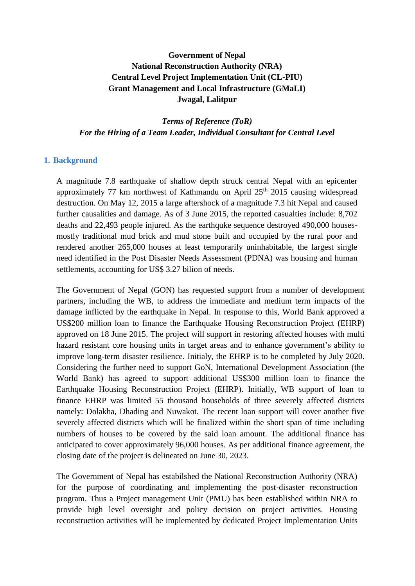# **Government of Nepal National Reconstruction Authority (NRA) Central Level Project Implementation Unit (CL-PIU) Grant Management and Local Infrastructure (GMaLI) Jwagal, Lalitpur**

*Terms of Reference (ToR) For the Hiring of a Team Leader, Individual Consultant for Central Level*

### **1. Background**

A magnitude 7.8 earthquake of shallow depth struck central Nepal with an epicenter approximately 77 km northwest of Kathmandu on April  $25<sup>th</sup>$  2015 causing widespread destruction. On May 12, 2015 a large aftershock of a magnitude 7.3 hit Nepal and caused further causalities and damage. As of 3 June 2015, the reported casualties include: 8,702 deaths and 22,493 people injured. As the earthquke sequence destroyed 490,000 housesmostly traditional mud brick and mud stone built and occupied by the rural poor and rendered another 265,000 houses at least temporarily uninhabitable, the largest single need identified in the Post Disaster Needs Assessment (PDNA) was housing and human settlements, accounting for US\$ 3.27 bilion of needs.

The Government of Nepal (GON) has requested support from a number of development partners, including the WB, to address the immediate and medium term impacts of the damage inflicted by the earthquake in Nepal. In response to this, World Bank approved a US\$200 million loan to finance the Earthquake Housing Reconstruction Project (EHRP) approved on 18 June 2015. The project will support in restoring affected houses with multi hazard resistant core housing units in target areas and to enhance government's ability to improve long-term disaster resilience. Initialy, the EHRP is to be completed by July 2020. Considering the further need to support GoN, International Development Association (the World Bank) has agreed to support additional US\$300 million loan to finance the Earthquake Housing Reconstruction Project (EHRP). Initially, WB support of loan to finance EHRP was limited 55 thousand households of three severely affected districts namely: Dolakha, Dhading and Nuwakot. The recent loan support will cover another five severely affected districts which will be finalized within the short span of time including numbers of houses to be covered by the said loan amount. The additional finance has anticipated to cover approximately 96,000 houses. As per additional finance agreement, the closing date of the project is delineated on June 30, 2023.

The Government of Nepal has estabilshed the National Reconstruction Authority (NRA) for the purpose of coordinating and implementing the post-disaster reconstruction program. Thus a Project management Unit (PMU) has been established within NRA to provide high level oversight and policy decision on project activities. Housing reconstruction activities will be implemented by dedicated Project Implementation Units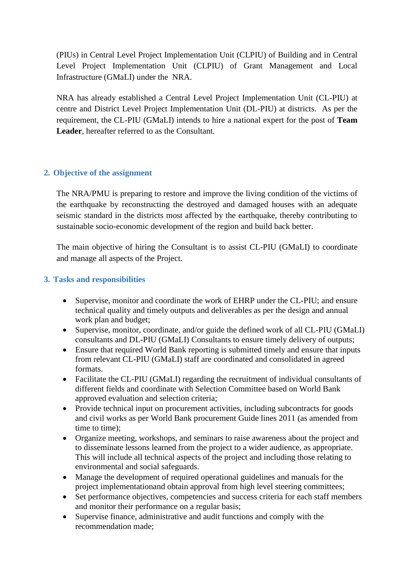(PIUs) in Central Level Project Implementation Unit (CLPIU) of Building and in Central Level Project Implementation Unit (CLPIU) of Grant Management and Local Infrastructure (GMaLI) under the NRA.

NRA has already established a Central Level Project Implementation Unit (CL-PIU) at centre and District Level Project Implementation Unit (DL-PIU) at districts. As per the requirement, the CL-PIU (GMaLI) intends to hire a national expert for the post of **Team Leader**, hereafter referred to as the Consultant.

# **2. Objective of the assignment**

The NRA/PMU is preparing to restore and improve the living condition of the victims of the earthquake by reconstructing the destroyed and damaged houses with an adequate seismic standard in the districts most affected by the earthquake, thereby contributing to sustainable socio-economic development of the region and build back better.

The main objective of hiring the Consultant is to assist CL-PIU (GMaLI) to coordinate and manage all aspects of the Project.

## **3. Tasks and responsibilities**

- Supervise, monitor and coordinate the work of EHRP under the CL-PIU; and ensure technical quality and timely outputs and deliverables as per the design and annual work plan and budget;
- Supervise, monitor, coordinate, and/or guide the defined work of all CL-PIU (GMaLI) consultants and DL-PIU (GMaLI) Consultants to ensure timely delivery of outputs;
- Ensure that required World Bank reporting is submitted timely and ensure that inputs from relevant CL-PIU (GMaLI) staff are coordinated and consolidated in agreed formats.
- Facilitate the CL-PIU (GMaLI) regarding the recruitment of individual consultants of different fields and coordinate with Selection Committee based on World Bank approved evaluation and selection criteria;
- Provide technical input on procurement activities, including subcontracts for goods and civil works as per World Bank procurement Guide lines 2011 (as amended from time to time);
- Organize meeting, workshops, and seminars to raise awareness about the project and to disseminate lessons learned from the project to a wider audience, as appropriate. This will include all technical aspects of the project and including those relating to environmental and social safeguards.
- Manage the development of required operational guidelines and manuals for the project implementationand obtain approval from high level steering committees;
- Set performance objectives, competencies and success criteria for each staff members and monitor their performance on a regular basis;
- Supervise finance, administrative and audit functions and comply with the recommendation made;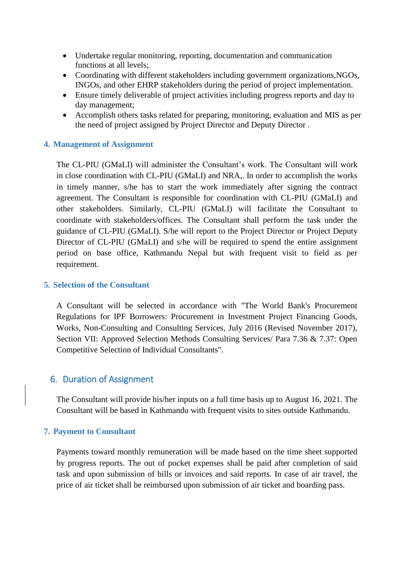- Undertake regular monitoring, reporting, documentation and communication functions at all levels;
- Coordinating with different stakeholders including government organizations, NGOs, INGOs, and other EHRP stakeholders during the period of project implementation.
- Ensure timely deliverable of project activities including progress reports and day to day management;
- Accomplish others tasks related for preparing, monitoring, evaluation and MIS as per the need of project assigned by Project Director and Deputy Director .

## **4. Management of Assignment**

The CL-PIU (GMaLI) will administer the Consultant's work. The Consultant will work in close coordination with CL-PIU (GMaLI) and NRA,. In order to accomplish the works in timely manner, s/he has to start the work immediately after signing the contract agreement. The Consultant is responsible for coordination with CL-PIU (GMaLI) and other stakeholders. Similarly, CL-PIU (GMaLI) will facilitate the Consultant to coordinate with stakeholders/offices. The Consultant shall perform the task under the guidance of CL-PIU (GMaLI). S/he will report to the Project Director or Project Deputy Director of CL-PIU (GMaLI) and s/he will be required to spend the entire assignment period on base office, Kathmandu Nepal but with frequent visit to field as per requirement.

## **5. Selection of the Consultant**

A Consultant will be selected in accordance with "The World Bank's Procurement Regulations for IPF Borrowers: Procurement in Investment Project Financing Goods, Works, Non-Consulting and Consulting Services, July 2016 (Revised November 2017), Section VII: Approved Selection Methods Consulting Services/ Para 7.36 & 7.37: Open Competitive Selection of Individual Consultants".

## 6. Duration of Assignment

The Consultant will provide his/her inputs on a full time basis up to August 16, 2021. The Consultant will be based in Kathmandu with frequent visits to sites outside Kathmandu.

#### **7. Payment to Consultant**

Payments toward monthly remuneration will be made based on the time sheet supported by progress reports. The out of pocket expenses shall be paid after completion of said task and upon submission of bills or invoices and said reports. In case of air travel, the price of air ticket shall be reimbursed upon submission of air ticket and boarding pass.